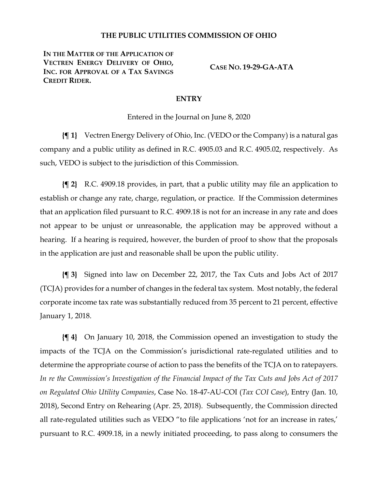## **THE PUBLIC UTILITIES COMMISSION OF OHIO**

**IN THE MATTER OF THE APPLICATION OF VECTREN ENERGY DELIVERY OF OHIO, INC. FOR APPROVAL OF A TAX SAVINGS CREDIT RIDER.**

**CASE NO. 19-29-GA-ATA**

## **ENTRY**

Entered in the Journal on June 8, 2020

**{¶ 1}** Vectren Energy Delivery of Ohio, Inc. (VEDO or the Company) is a natural gas company and a public utility as defined in R.C. 4905.03 and R.C. 4905.02, respectively. As such, VEDO is subject to the jurisdiction of this Commission.

**{¶ 2}** R.C. 4909.18 provides, in part, that a public utility may file an application to establish or change any rate, charge, regulation, or practice. If the Commission determines that an application filed pursuant to R.C. 4909.18 is not for an increase in any rate and does not appear to be unjust or unreasonable, the application may be approved without a hearing. If a hearing is required, however, the burden of proof to show that the proposals in the application are just and reasonable shall be upon the public utility.

**{¶ 3}** Signed into law on December 22, 2017, the Tax Cuts and Jobs Act of 2017 (TCJA) provides for a number of changes in the federal tax system. Most notably, the federal corporate income tax rate was substantially reduced from 35 percent to 21 percent, effective January 1, 2018.

**{¶ 4}** On January 10, 2018, the Commission opened an investigation to study the impacts of the TCJA on the Commission's jurisdictional rate-regulated utilities and to determine the appropriate course of action to pass the benefits of the TCJA on to ratepayers. *In re the Commission's Investigation of the Financial Impact of the Tax Cuts and Jobs Act of 2017 on Regulated Ohio Utility Companies*, Case No. 18-47-AU-COI (*Tax COI Case*), Entry (Jan. 10, 2018), Second Entry on Rehearing (Apr. 25, 2018). Subsequently, the Commission directed all rate-regulated utilities such as VEDO "to file applications 'not for an increase in rates,' pursuant to R.C. 4909.18, in a newly initiated proceeding, to pass along to consumers the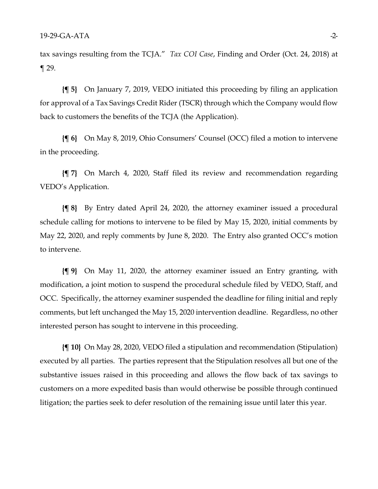tax savings resulting from the TCJA." *Tax COI Case*, Finding and Order (Oct. 24, 2018) at ¶ 29.

**{¶ 5}** On January 7, 2019, VEDO initiated this proceeding by filing an application for approval of a Tax Savings Credit Rider (TSCR) through which the Company would flow back to customers the benefits of the TCJA (the Application).

**{¶ 6}** On May 8, 2019, Ohio Consumers' Counsel (OCC) filed a motion to intervene in the proceeding.

**{¶ 7}** On March 4, 2020, Staff filed its review and recommendation regarding VEDO's Application.

**{¶ 8}** By Entry dated April 24, 2020, the attorney examiner issued a procedural schedule calling for motions to intervene to be filed by May 15, 2020, initial comments by May 22, 2020, and reply comments by June 8, 2020. The Entry also granted OCC's motion to intervene.

**{¶ 9}** On May 11, 2020, the attorney examiner issued an Entry granting, with modification, a joint motion to suspend the procedural schedule filed by VEDO, Staff, and OCC. Specifically, the attorney examiner suspended the deadline for filing initial and reply comments, but left unchanged the May 15, 2020 intervention deadline. Regardless, no other interested person has sought to intervene in this proceeding.

**{¶ 10}** On May 28, 2020, VEDO filed a stipulation and recommendation (Stipulation) executed by all parties. The parties represent that the Stipulation resolves all but one of the substantive issues raised in this proceeding and allows the flow back of tax savings to customers on a more expedited basis than would otherwise be possible through continued litigation; the parties seek to defer resolution of the remaining issue until later this year.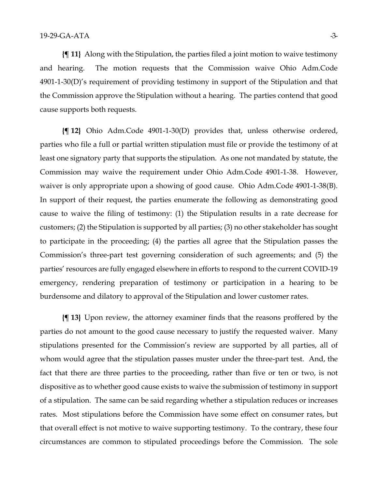**{¶ 11}** Along with the Stipulation, the parties filed a joint motion to waive testimony and hearing. The motion requests that the Commission waive Ohio Adm.Code 4901-1-30(D)'s requirement of providing testimony in support of the Stipulation and that the Commission approve the Stipulation without a hearing. The parties contend that good cause supports both requests.

**{¶ 12}** Ohio Adm.Code 4901-1-30(D) provides that, unless otherwise ordered, parties who file a full or partial written stipulation must file or provide the testimony of at least one signatory party that supports the stipulation. As one not mandated by statute, the Commission may waive the requirement under Ohio Adm.Code 4901-1-38. However, waiver is only appropriate upon a showing of good cause. Ohio Adm.Code 4901-1-38(B). In support of their request, the parties enumerate the following as demonstrating good cause to waive the filing of testimony: (1) the Stipulation results in a rate decrease for customers; (2) the Stipulation is supported by all parties; (3) no other stakeholder has sought to participate in the proceeding; (4) the parties all agree that the Stipulation passes the Commission's three-part test governing consideration of such agreements; and (5) the parties' resources are fully engaged elsewhere in efforts to respond to the current COVID-19 emergency, rendering preparation of testimony or participation in a hearing to be burdensome and dilatory to approval of the Stipulation and lower customer rates.

**{¶ 13}** Upon review, the attorney examiner finds that the reasons proffered by the parties do not amount to the good cause necessary to justify the requested waiver. Many stipulations presented for the Commission's review are supported by all parties, all of whom would agree that the stipulation passes muster under the three-part test. And, the fact that there are three parties to the proceeding, rather than five or ten or two, is not dispositive as to whether good cause exists to waive the submission of testimony in support of a stipulation. The same can be said regarding whether a stipulation reduces or increases rates. Most stipulations before the Commission have some effect on consumer rates, but that overall effect is not motive to waive supporting testimony. To the contrary, these four circumstances are common to stipulated proceedings before the Commission. The sole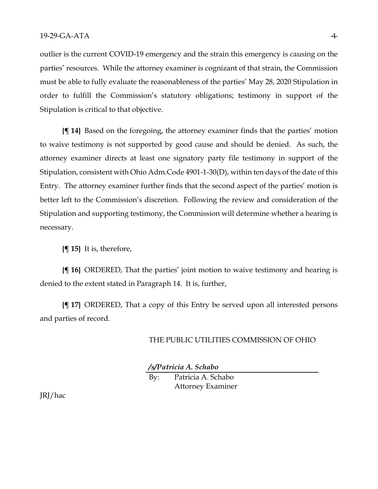outlier is the current COVID-19 emergency and the strain this emergency is causing on the parties' resources. While the attorney examiner is cognizant of that strain, the Commission must be able to fully evaluate the reasonableness of the parties' May 28, 2020 Stipulation in order to fulfill the Commission's statutory obligations; testimony in support of the Stipulation is critical to that objective.

**{¶ 14}** Based on the foregoing, the attorney examiner finds that the parties' motion to waive testimony is not supported by good cause and should be denied. As such, the attorney examiner directs at least one signatory party file testimony in support of the Stipulation, consistent with Ohio Adm.Code 4901-1-30(D), within ten days of the date of this Entry. The attorney examiner further finds that the second aspect of the parties' motion is better left to the Commission's discretion. Following the review and consideration of the Stipulation and supporting testimony, the Commission will determine whether a hearing is necessary.

**{¶ 15}** It is, therefore,

**{¶ 16}** ORDERED, That the parties' joint motion to waive testimony and hearing is denied to the extent stated in Paragraph 14. It is, further,

**{¶ 17}** ORDERED, That a copy of this Entry be served upon all interested persons and parties of record.

## THE PUBLIC UTILITIES COMMISSION OF OHIO

*/s/Patricia A. Schabo*

By: Patricia A. Schabo Attorney Examiner

JRJ/hac